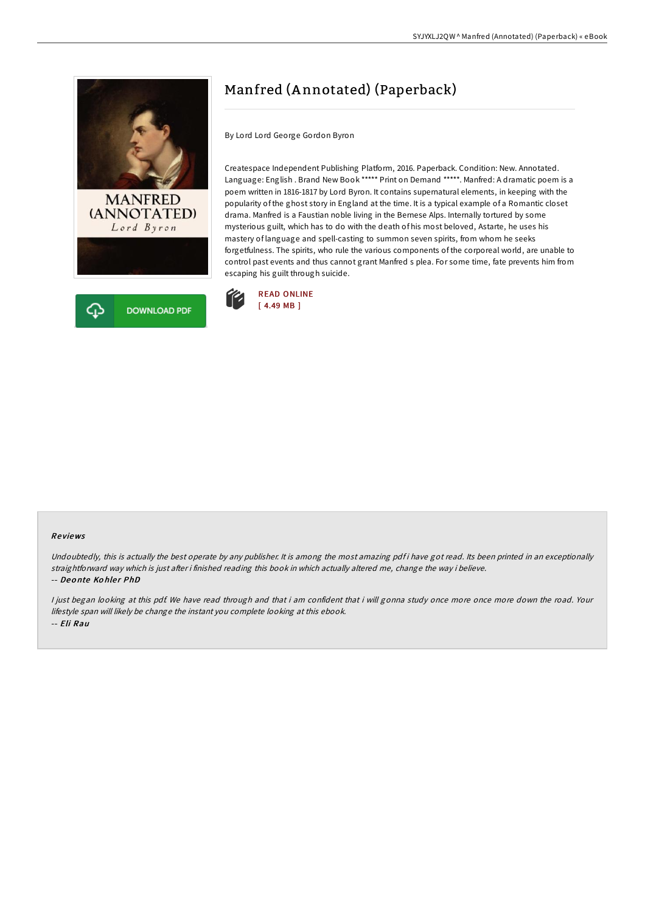



## Manfred (A nnotated) (Paperback)

By Lord Lord George Gordon Byron

Createspace Independent Publishing Platform, 2016. Paperback. Condition: New. Annotated. Language: English . Brand New Book \*\*\*\*\* Print on Demand \*\*\*\*\*. Manfred: A dramatic poem is a poem written in 1816-1817 by Lord Byron. It contains supernatural elements, in keeping with the popularity of the ghost story in England at the time. It is a typical example of a Romantic closet drama. Manfred is a Faustian noble living in the Bernese Alps. Internally tortured by some mysterious guilt, which has to do with the death of his most beloved, Astarte, he uses his mastery of language and spell-casting to summon seven spirits, from whom he seeks forgetfulness. The spirits, who rule the various components of the corporeal world, are unable to control past events and thus cannot grant Manfred s plea. For some time, fate prevents him from escaping his guilt through suicide.



## Re views

Undoubtedly, this is actually the best operate by any publisher. It is among the most amazing pdf i have got read. Its been printed in an exceptionally straightforward way which is just after i finished reading this book in which actually altered me, change the way i believe. -- Deonte Kohler PhD

<sup>I</sup> just began looking at this pdf. We have read through and that i am confident that i will gonna study once more once more down the road. Your lifestyle span will likely be change the instant you complete looking at this ebook. -- Eli Rau